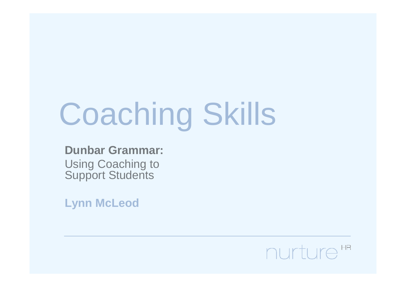# Coaching Skills

**Dunbar Grammar:**Using Coaching to **Support Students** 

**Lynn McLeod**

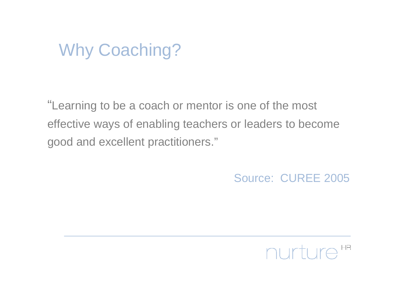#### Why Coaching?

"Learning to be a coach or mentor is one of the mosteffective ways of enabling teachers or leaders to becomegood and excellent practitioners."

Source: CUREE 2005

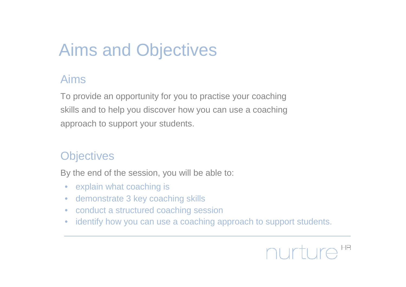#### Aims and Objectives

#### Aims

To provide an opportunity for you to practise your coachingskills and to help you discover how you can use a coachingapproach to support your students.

#### **Objectives**

By the end of the session, you will be able to:

- $\bullet$ explain what coaching is
- demonstrate 3 key coaching skills $\bullet$
- conduct a structured coaching session $\bullet$
- identify how you can use a coaching approach to support students. $\bullet$

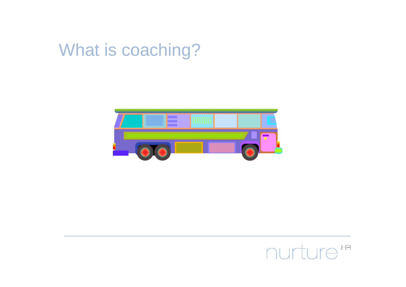#### What is coaching?



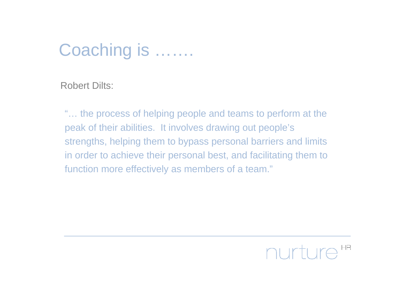#### Coaching is …….

Robert Dilts:

"... the process of helping people and teams to perform at the<br>reak of their abilities. It involves drawing autopeals's peak of their abilities. It involves drawing out people'sstrengths, helping them to bypass personal barriers and limitsin order to achieve their personal best, and facilitating them tofunction more effectively as members of a team."

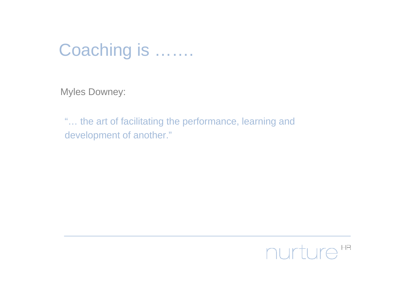#### Coaching is …….

Myles Downey:

"... the art of facilitating the performance, learning and<br>davelerment of another." development of another."

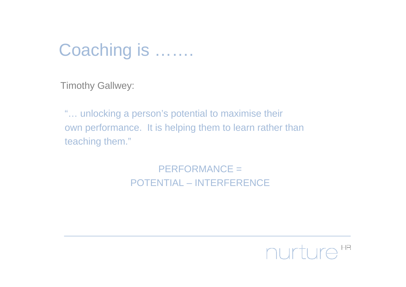#### Coaching is …….

Timothy Gallwey:

"… unlocking a person's potential to maximise their own performance. It is helping them to learn rather thanteaching them."

> PERFORMANCE = POTENTIAL – INTERFERENCE

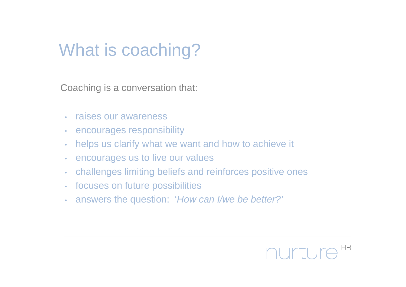#### What is coaching?

Coaching is a conversation that:

- •raises our awareness
- •encourages responsibility
- •helps us clarify what we want and how to achieve it
- •encourages us to live our values
- •challenges limiting beliefs and reinforces positive ones
- •focuses on future possibilities
- •answers the question: 'How can I/we be better?'

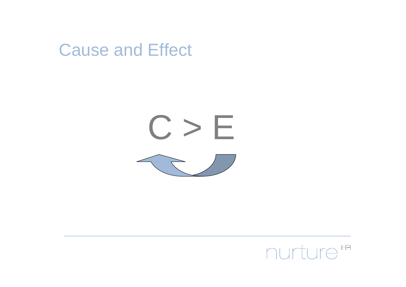



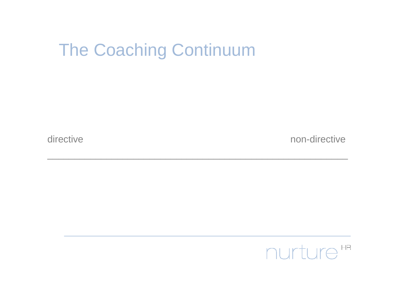#### The Coaching Continuum

directive

non-directive

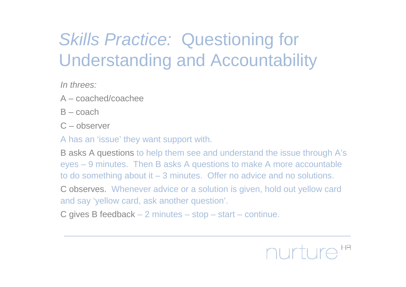# Skills Practice: Questioning for Understanding and Accountability

In threes:

- A coached/coachee
- $B \text{coach}$
- C observer

A has an 'issue' they want support with.

B asks A questions to help them see and understand the issue through A's eyes – 9 minutes. Then B asks A questions to make A more accountable to do something about it – 3 minutes. Offer no advice and no solutions.

C observes. Whenever advice or a solution is given, hold out yellow card and say 'yellow card, ask another question'.

C gives B feedback – 2 minutes – stop – start – continue.

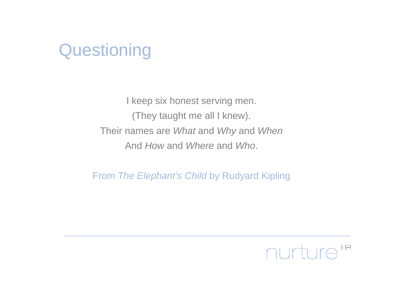#### **Questioning**

I keep six honest serving men.(They taught me all I knew).Their names are *What* and *Why* and *When* And *How* and *Where* and *Who*.

From *The Elephant's Child* by Rudyard Kipling

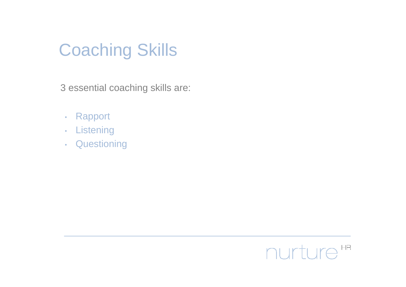#### Coaching Skills

3 essential coaching skills are:

- •Rapport
- •**Listening**
- Questioning•

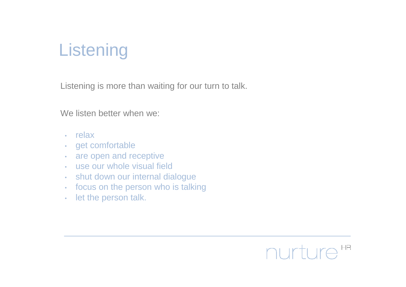# **Listening**

Listening is more than waiting for our turn to talk.

We listen better when we:

- relax
- get comfortable •
- are open and receptive •
- use our whole visual field
- shut down our internal dialogue•
- focus on the person who is talking•
- •let the person talk.

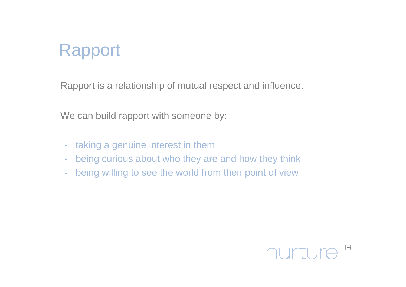#### Rapport

Rapport is a relationship of mutual respect and influence.

We can build rapport with someone by:

- •taking a genuine interest in them
- being curious about who they are and how they think•
- •being willing to see the world from their point of view

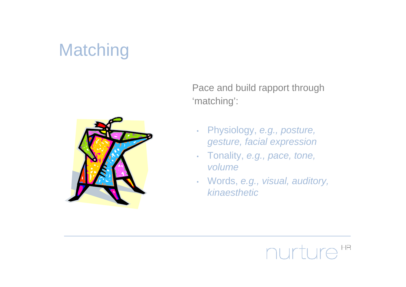### **Matching**



Pace and build rapport through 'matching':

- Physiology, *e.g., posture,* gesture, facial expression
- Tonality, e.g., pace, tone, •volume
- •Words, e.g., visual, auditory, kinaesthetic

#### nurture HR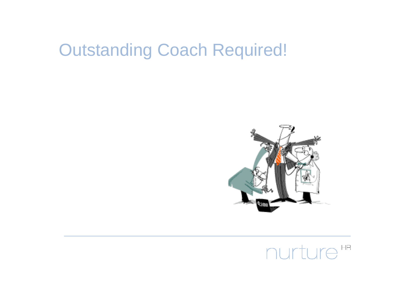#### Outstanding Coach Required!



#### nurture<sup>HR</sup>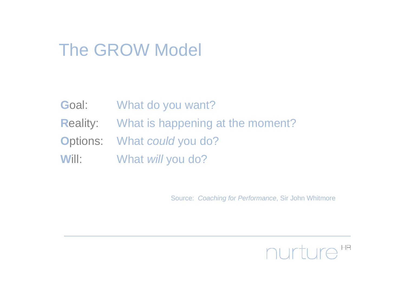#### The GROW Model

- **G**oal: What do you want?
- **R**eality: What is happening at the moment?
- **O**ptions: What could you do?
- **W**ill: What will you do?

Source: Coaching for Performance, Sir John Whitmore

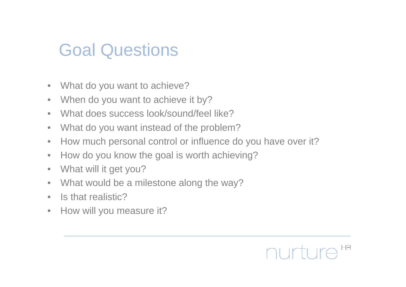#### Goal Questions

- $\bullet$ What do you want to achieve?
- $\bullet$ When do you want to achieve it by?
- $\bullet$ What does success look/sound/feel like?
- $\bullet$ What do you want instead of the problem?
- $\bullet$ How much personal control or influence do you have over it?
- $\bullet$ How do you know the goal is worth achieving?
- $\bullet$ What will it get you?
- $\bullet$ What would be a milestone along the way?
- $\bullet$ Is that realistic?
- $\bullet$ How will you measure it?

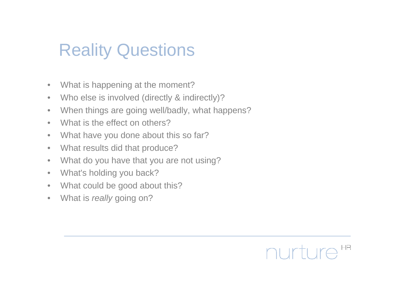#### Reality Questions

- $\bullet$ What is happening at the moment?
- $\bullet$ Who else is involved (directly & indirectly)?
- When things are going well/badly, what happens? $\bullet$
- $\bullet$ What is the effect on others?
- $\bullet$ What have you done about this so far?
- $\bullet$ What results did that produce?
- $\bullet$ What do you have that you are not using?
- $\bullet$ What's holding you back?
- What could be good about this? $\bullet$
- •What is really going on?

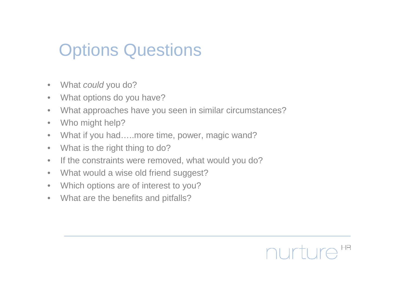#### Options Questions

- $\bullet$ What *could* you do?
- $\bullet$ What options do you have?
- What approaches have you seen in similar circumstances? $\bullet$
- $\bullet$ Who might help?
- What if you had…..more time, power, magic wand? $\bullet$
- $\bullet$ What is the right thing to do?
- If the constraints were removed, what would you do? $\bullet$
- $\bullet$ What would a wise old friend suggest?
- $\bullet$ Which options are of interest to you?
- •What are the benefits and pitfalls?

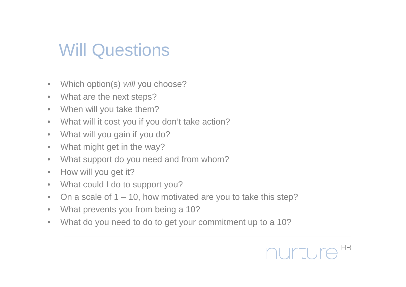#### Will Questions

- •Which option(s) will you choose?
- $\bullet$ What are the next steps?
- $\bullet$ When will you take them?
- What will it cost you if you don't take action? $\bullet$
- $\bullet$ What will you gain if you do?
- $\bullet$ What might get in the way?
- $\bullet$ What support do you need and from whom?
- $\bullet$ How will you get it?
- $\bullet$ What could I do to support you?
- On a scale of  $1 10$ , how motivated are you to take this step?  $\bullet$
- $\bullet$ What prevents you from being a 10?
- What do you need to do to get your commitment up to a 10? $\bullet$

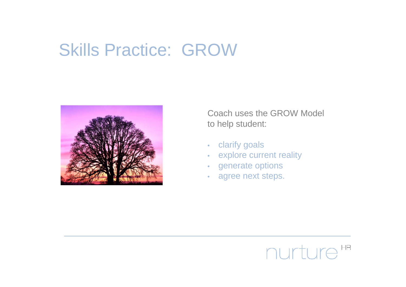#### Skills Practice: GROW



Coach uses the GROW Modelto help student:

- •clarify goals
- explore current reality •
- •generate options
- agree next steps.•

#### nurture  $HR$